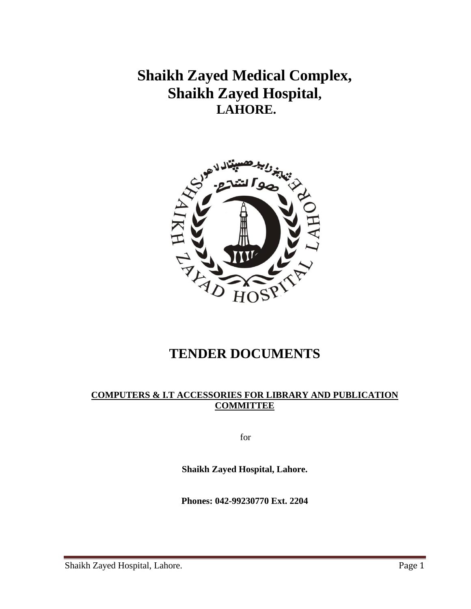**Shaikh Zayed Medical Complex, Shaikh Zayed Hospital, LAHORE.** 



# **TENDER DOCUMENTS**

#### **COMPUTERS & I.T ACCESSORIES FOR LIBRARY AND PUBLICATION COMMITTEE**

for

**Shaikh Zayed Hospital, Lahore.**

**Phones: 042-99230770 Ext. 2204**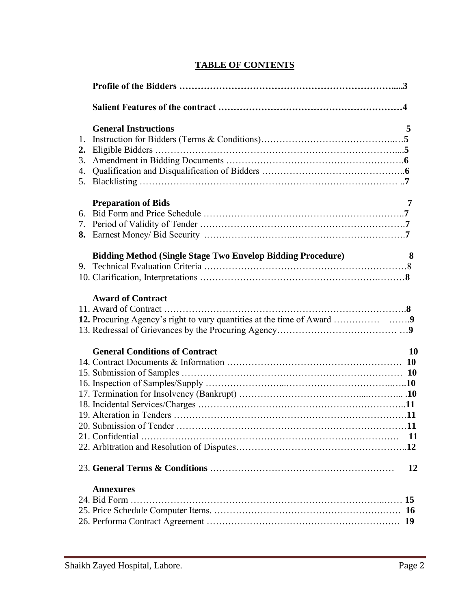## **TABLE OF CONTENTS**

| 1.<br>3. | <b>General Instructions</b>                                        | 5         |
|----------|--------------------------------------------------------------------|-----------|
|          | <b>Preparation of Bids</b>                                         | 7         |
|          | <b>Bidding Method (Single Stage Two Envelop Bidding Procedure)</b> | 8         |
|          | <b>Award of Contract</b>                                           |           |
|          | <b>General Conditions of Contract</b>                              | <b>10</b> |
|          |                                                                    | 12        |
|          | <b>Annexures</b>                                                   |           |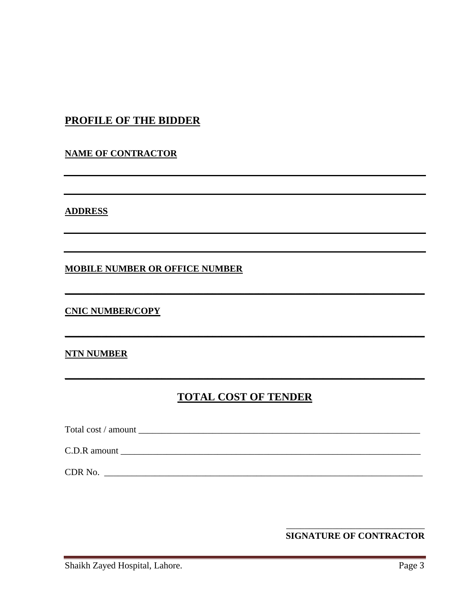## **PROFILE OF THE BIDDER**

#### **NAME OF CONTRACTOR**

**ADDRESS** 

#### **MOBILE NUMBER OR OFFICE NUMBER**

#### **CNIC NUMBER/COPY**

#### **NTN NUMBER**

## **TOTAL COST OF TENDER**

CDR No.

#### **SIGNATURE OF CONTRACTOR**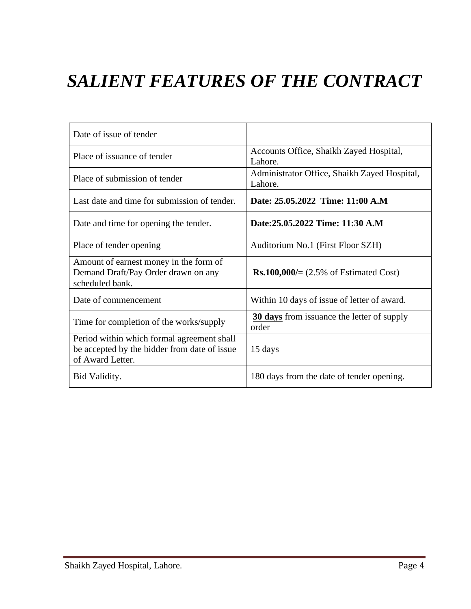# *SALIENT FEATURES OF THE CONTRACT*

| Date of issue of tender                                                                                        |                                                            |
|----------------------------------------------------------------------------------------------------------------|------------------------------------------------------------|
| Place of issuance of tender                                                                                    | Accounts Office, Shaikh Zayed Hospital,<br>Lahore.         |
| Place of submission of tender                                                                                  | Administrator Office, Shaikh Zayed Hospital,<br>Lahore.    |
| Last date and time for submission of tender.                                                                   | Date: 25.05.2022 Time: 11:00 A.M                           |
| Date and time for opening the tender.                                                                          | Date:25.05.2022 Time: 11:30 A.M                            |
| Place of tender opening                                                                                        | Auditorium No.1 (First Floor SZH)                          |
| Amount of earnest money in the form of<br>Demand Draft/Pay Order drawn on any<br>scheduled bank.               | <b>Rs.100,000/</b> $= (2.5\% \text{ of Estimate d Cost})$  |
| Date of commencement                                                                                           | Within 10 days of issue of letter of award.                |
| Time for completion of the works/supply                                                                        | <b>30 days</b> from issuance the letter of supply<br>order |
| Period within which formal agreement shall<br>be accepted by the bidder from date of issue<br>of Award Letter. | 15 days                                                    |
| Bid Validity.                                                                                                  | 180 days from the date of tender opening.                  |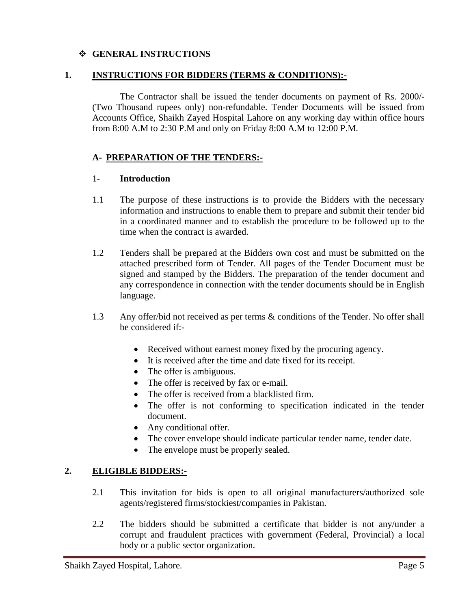#### ❖ **GENERAL INSTRUCTIONS**

#### **1. INSTRUCTIONS FOR BIDDERS (TERMS & CONDITIONS):-**

The Contractor shall be issued the tender documents on payment of Rs. 2000/- (Two Thousand rupees only) non-refundable. Tender Documents will be issued from Accounts Office, Shaikh Zayed Hospital Lahore on any working day within office hours from 8:00 A.M to 2:30 P.M and only on Friday 8:00 A.M to 12:00 P.M.

#### **A- PREPARATION OF THE TENDERS:-**

#### 1- **Introduction**

- 1.1 The purpose of these instructions is to provide the Bidders with the necessary information and instructions to enable them to prepare and submit their tender bid in a coordinated manner and to establish the procedure to be followed up to the time when the contract is awarded.
- 1.2 Tenders shall be prepared at the Bidders own cost and must be submitted on the attached prescribed form of Tender. All pages of the Tender Document must be signed and stamped by the Bidders. The preparation of the tender document and any correspondence in connection with the tender documents should be in English language.
- 1.3 Any offer/bid not received as per terms & conditions of the Tender. No offer shall be considered if:-
	- Received without earnest money fixed by the procuring agency.
	- It is received after the time and date fixed for its receipt.
	- The offer is ambiguous.
	- The offer is received by fax or e-mail.
	- The offer is received from a blacklisted firm.
	- The offer is not conforming to specification indicated in the tender document.
	- Any conditional offer.
	- The cover envelope should indicate particular tender name, tender date.
	- The envelope must be properly sealed.

#### **2. ELIGIBLE BIDDERS:-**

- 2.1 This invitation for bids is open to all original manufacturers/authorized sole agents/registered firms/stockiest/companies in Pakistan.
- 2.2 The bidders should be submitted a certificate that bidder is not any/under a corrupt and fraudulent practices with government (Federal, Provincial) a local body or a public sector organization.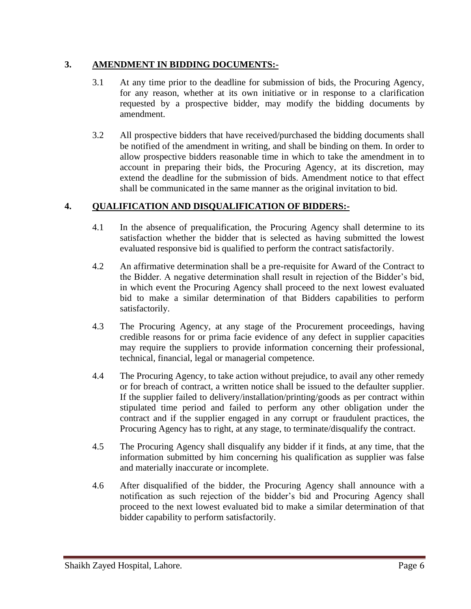#### **3. AMENDMENT IN BIDDING DOCUMENTS:-**

- 3.1 At any time prior to the deadline for submission of bids, the Procuring Agency, for any reason, whether at its own initiative or in response to a clarification requested by a prospective bidder, may modify the bidding documents by amendment.
- 3.2 All prospective bidders that have received/purchased the bidding documents shall be notified of the amendment in writing, and shall be binding on them. In order to allow prospective bidders reasonable time in which to take the amendment in to account in preparing their bids, the Procuring Agency, at its discretion, may extend the deadline for the submission of bids. Amendment notice to that effect shall be communicated in the same manner as the original invitation to bid.

#### **4. QUALIFICATION AND DISQUALIFICATION OF BIDDERS:-**

- 4.1 In the absence of prequalification, the Procuring Agency shall determine to its satisfaction whether the bidder that is selected as having submitted the lowest evaluated responsive bid is qualified to perform the contract satisfactorily.
- 4.2 An affirmative determination shall be a pre-requisite for Award of the Contract to the Bidder. A negative determination shall result in rejection of the Bidder's bid, in which event the Procuring Agency shall proceed to the next lowest evaluated bid to make a similar determination of that Bidders capabilities to perform satisfactorily.
- 4.3 The Procuring Agency, at any stage of the Procurement proceedings, having credible reasons for or prima facie evidence of any defect in supplier capacities may require the suppliers to provide information concerning their professional, technical, financial, legal or managerial competence.
- 4.4 The Procuring Agency, to take action without prejudice, to avail any other remedy or for breach of contract, a written notice shall be issued to the defaulter supplier. If the supplier failed to delivery/installation/printing/goods as per contract within stipulated time period and failed to perform any other obligation under the contract and if the supplier engaged in any corrupt or fraudulent practices, the Procuring Agency has to right, at any stage, to terminate/disqualify the contract.
- 4.5 The Procuring Agency shall disqualify any bidder if it finds, at any time, that the information submitted by him concerning his qualification as supplier was false and materially inaccurate or incomplete.
- 4.6 After disqualified of the bidder, the Procuring Agency shall announce with a notification as such rejection of the bidder's bid and Procuring Agency shall proceed to the next lowest evaluated bid to make a similar determination of that bidder capability to perform satisfactorily.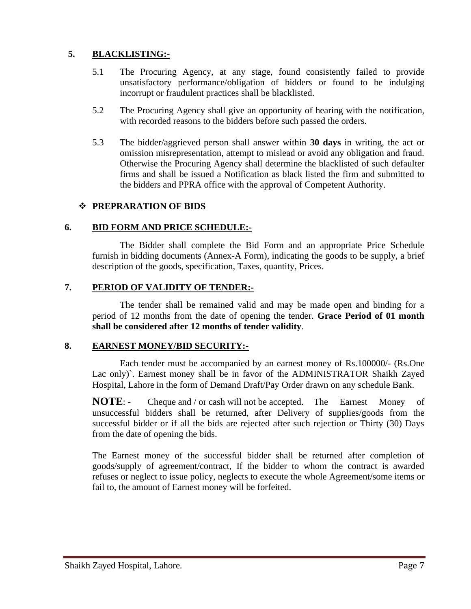#### **5. BLACKLISTING:-**

- 5.1 The Procuring Agency, at any stage, found consistently failed to provide unsatisfactory performance/obligation of bidders or found to be indulging incorrupt or fraudulent practices shall be blacklisted.
- 5.2 The Procuring Agency shall give an opportunity of hearing with the notification, with recorded reasons to the bidders before such passed the orders.
- 5.3 The bidder/aggrieved person shall answer within **30 days** in writing, the act or omission misrepresentation, attempt to mislead or avoid any obligation and fraud. Otherwise the Procuring Agency shall determine the blacklisted of such defaulter firms and shall be issued a Notification as black listed the firm and submitted to the bidders and PPRA office with the approval of Competent Authority.

#### ❖ **PREPRARATION OF BIDS**

#### **6. BID FORM AND PRICE SCHEDULE:-**

The Bidder shall complete the Bid Form and an appropriate Price Schedule furnish in bidding documents (Annex-A Form), indicating the goods to be supply, a brief description of the goods, specification, Taxes, quantity, Prices.

#### **7. PERIOD OF VALIDITY OF TENDER:-**

The tender shall be remained valid and may be made open and binding for a period of 12 months from the date of opening the tender. **Grace Period of 01 month shall be considered after 12 months of tender validity**.

#### **8. EARNEST MONEY/BID SECURITY:-**

Each tender must be accompanied by an earnest money of Rs.100000/- (Rs.One Lac only)`. Earnest money shall be in favor of the ADMINISTRATOR Shaikh Zayed Hospital, Lahore in the form of Demand Draft/Pay Order drawn on any schedule Bank.

**NOTE:** - Cheque and / or cash will not be accepted. The Earnest Money of unsuccessful bidders shall be returned, after Delivery of supplies/goods from the successful bidder or if all the bids are rejected after such rejection or Thirty (30) Days from the date of opening the bids.

The Earnest money of the successful bidder shall be returned after completion of goods/supply of agreement/contract, If the bidder to whom the contract is awarded refuses or neglect to issue policy, neglects to execute the whole Agreement/some items or fail to, the amount of Earnest money will be forfeited.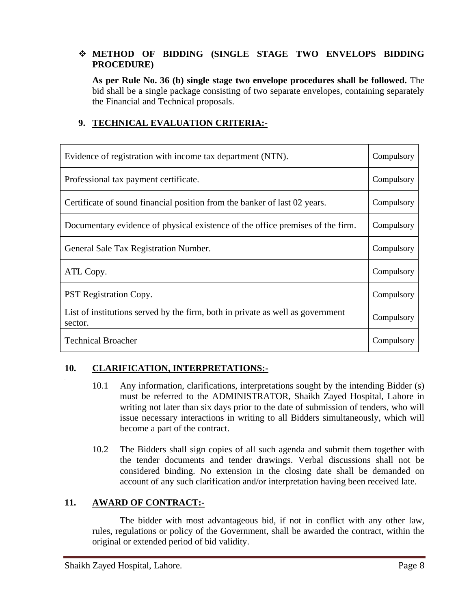#### ❖ **METHOD OF BIDDING (SINGLE STAGE TWO ENVELOPS BIDDING PROCEDURE)**

**As per Rule No. 36 (b) single stage two envelope procedures shall be followed.** The bid shall be a single package consisting of two separate envelopes, containing separately the Financial and Technical proposals.

#### **9. TECHNICAL EVALUATION CRITERIA:-**

| Evidence of registration with income tax department (NTN).                                | Compulsory |
|-------------------------------------------------------------------------------------------|------------|
| Professional tax payment certificate.                                                     | Compulsory |
| Certificate of sound financial position from the banker of last 02 years.                 | Compulsory |
| Documentary evidence of physical existence of the office premises of the firm.            | Compulsory |
| General Sale Tax Registration Number.                                                     | Compulsory |
| ATL Copy.                                                                                 | Compulsory |
| <b>PST Registration Copy.</b>                                                             | Compulsory |
| List of institutions served by the firm, both in private as well as government<br>sector. | Compulsory |
| <b>Technical Broacher</b>                                                                 | Compulsory |

#### **10. CLARIFICATION, INTERPRETATIONS:-**

- 10.1 Any information, clarifications, interpretations sought by the intending Bidder (s) must be referred to the ADMINISTRATOR, Shaikh Zayed Hospital, Lahore in writing not later than six days prior to the date of submission of tenders, who will issue necessary interactions in writing to all Bidders simultaneously, which will become a part of the contract.
- 10.2 The Bidders shall sign copies of all such agenda and submit them together with the tender documents and tender drawings. Verbal discussions shall not be considered binding. No extension in the closing date shall be demanded on account of any such clarification and/or interpretation having been received late.

#### **11. AWARD OF CONTRACT:-**

The bidder with most advantageous bid, if not in conflict with any other law, rules, regulations or policy of the Government, shall be awarded the contract, within the original or extended period of bid validity.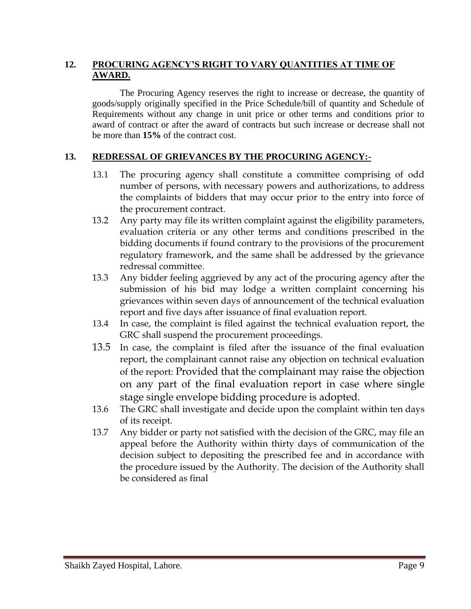#### **12. PROCURING AGENCY'S RIGHT TO VARY QUANTITIES AT TIME OF AWARD.**

The Procuring Agency reserves the right to increase or decrease, the quantity of goods/supply originally specified in the Price Schedule/bill of quantity and Schedule of Requirements without any change in unit price or other terms and conditions prior to award of contract or after the award of contracts but such increase or decrease shall not be more than **15%** of the contract cost.

#### **13. REDRESSAL OF GRIEVANCES BY THE PROCURING AGENCY:-**

- 13.1 The procuring agency shall constitute a committee comprising of odd number of persons, with necessary powers and authorizations, to address the complaints of bidders that may occur prior to the entry into force of the procurement contract.
- 13.2 Any party may file its written complaint against the eligibility parameters, evaluation criteria or any other terms and conditions prescribed in the bidding documents if found contrary to the provisions of the procurement regulatory framework, and the same shall be addressed by the grievance redressal committee.
- 13.3 Any bidder feeling aggrieved by any act of the procuring agency after the submission of his bid may lodge a written complaint concerning his grievances within seven days of announcement of the technical evaluation report and five days after issuance of final evaluation report.
- 13.4 In case, the complaint is filed against the technical evaluation report, the GRC shall suspend the procurement proceedings.
- 13.5 In case, the complaint is filed after the issuance of the final evaluation report, the complainant cannot raise any objection on technical evaluation of the report: Provided that the complainant may raise the objection on any part of the final evaluation report in case where single stage single envelope bidding procedure is adopted.
- 13.6 The GRC shall investigate and decide upon the complaint within ten days of its receipt.
- 13.7 Any bidder or party not satisfied with the decision of the GRC, may file an appeal before the Authority within thirty days of communication of the decision subject to depositing the prescribed fee and in accordance with the procedure issued by the Authority. The decision of the Authority shall be considered as final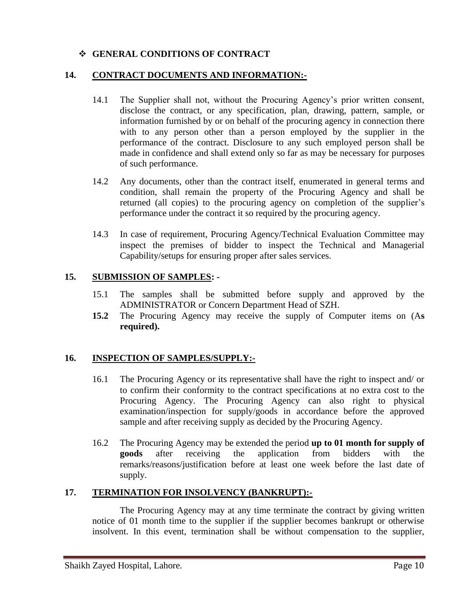#### ❖ **GENERAL CONDITIONS OF CONTRACT**

#### **14. CONTRACT DOCUMENTS AND INFORMATION:-**

- 14.1 The Supplier shall not, without the Procuring Agency's prior written consent, disclose the contract, or any specification, plan, drawing, pattern, sample, or information furnished by or on behalf of the procuring agency in connection there with to any person other than a person employed by the supplier in the performance of the contract. Disclosure to any such employed person shall be made in confidence and shall extend only so far as may be necessary for purposes of such performance.
- 14.2 Any documents, other than the contract itself, enumerated in general terms and condition, shall remain the property of the Procuring Agency and shall be returned (all copies) to the procuring agency on completion of the supplier's performance under the contract it so required by the procuring agency.
- 14.3 In case of requirement, Procuring Agency/Technical Evaluation Committee may inspect the premises of bidder to inspect the Technical and Managerial Capability/setups for ensuring proper after sales services.

#### **15. SUBMISSION OF SAMPLES: -**

- 15.1 The samples shall be submitted before supply and approved by the ADMINISTRATOR or Concern Department Head of SZH.
- **15.2** The Procuring Agency may receive the supply of Computer items on (A**s required).**

#### **16. INSPECTION OF SAMPLES/SUPPLY:-**

- 16.1 The Procuring Agency or its representative shall have the right to inspect and/ or to confirm their conformity to the contract specifications at no extra cost to the Procuring Agency. The Procuring Agency can also right to physical examination/inspection for supply/goods in accordance before the approved sample and after receiving supply as decided by the Procuring Agency.
- 16.2 The Procuring Agency may be extended the period **up to 01 month for supply of goods** after receiving the application from bidders with the remarks/reasons/justification before at least one week before the last date of supply.

#### **17. TERMINATION FOR INSOLVENCY (BANKRUPT):-**

The Procuring Agency may at any time terminate the contract by giving written notice of 01 month time to the supplier if the supplier becomes bankrupt or otherwise insolvent. In this event, termination shall be without compensation to the supplier,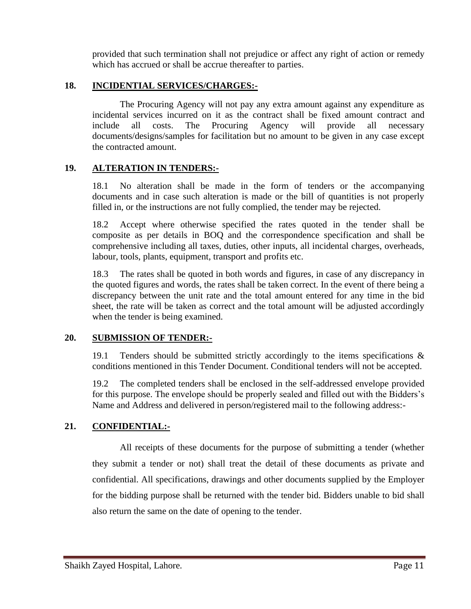provided that such termination shall not prejudice or affect any right of action or remedy which has accrued or shall be accrue thereafter to parties.

#### **18. INCIDENTIAL SERVICES/CHARGES:-**

The Procuring Agency will not pay any extra amount against any expenditure as incidental services incurred on it as the contract shall be fixed amount contract and include all costs. The Procuring Agency will provide all necessary documents/designs/samples for facilitation but no amount to be given in any case except the contracted amount.

#### **19. ALTERATION IN TENDERS:-**

18.1 No alteration shall be made in the form of tenders or the accompanying documents and in case such alteration is made or the bill of quantities is not properly filled in, or the instructions are not fully complied, the tender may be rejected.

18.2 Accept where otherwise specified the rates quoted in the tender shall be composite as per details in BOQ and the correspondence specification and shall be comprehensive including all taxes, duties, other inputs, all incidental charges, overheads, labour, tools, plants, equipment, transport and profits etc.

18.3 The rates shall be quoted in both words and figures, in case of any discrepancy in the quoted figures and words, the rates shall be taken correct. In the event of there being a discrepancy between the unit rate and the total amount entered for any time in the bid sheet, the rate will be taken as correct and the total amount will be adjusted accordingly when the tender is being examined.

#### **20. SUBMISSION OF TENDER:-**

19.1 Tenders should be submitted strictly accordingly to the items specifications  $\&$ conditions mentioned in this Tender Document. Conditional tenders will not be accepted.

19.2 The completed tenders shall be enclosed in the self-addressed envelope provided for this purpose. The envelope should be properly sealed and filled out with the Bidders's Name and Address and delivered in person/registered mail to the following address:-

#### **21. CONFIDENTIAL:-**

All receipts of these documents for the purpose of submitting a tender (whether they submit a tender or not) shall treat the detail of these documents as private and confidential. All specifications, drawings and other documents supplied by the Employer for the bidding purpose shall be returned with the tender bid. Bidders unable to bid shall also return the same on the date of opening to the tender.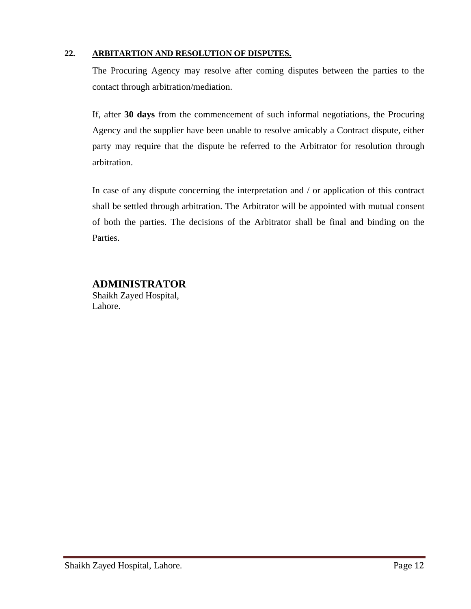#### **22. ARBITARTION AND RESOLUTION OF DISPUTES.**

The Procuring Agency may resolve after coming disputes between the parties to the contact through arbitration/mediation.

If, after **30 days** from the commencement of such informal negotiations, the Procuring Agency and the supplier have been unable to resolve amicably a Contract dispute, either party may require that the dispute be referred to the Arbitrator for resolution through arbitration.

In case of any dispute concerning the interpretation and / or application of this contract shall be settled through arbitration. The Arbitrator will be appointed with mutual consent of both the parties. The decisions of the Arbitrator shall be final and binding on the Parties.

#### **ADMINISTRATOR**

Shaikh Zayed Hospital, Lahore.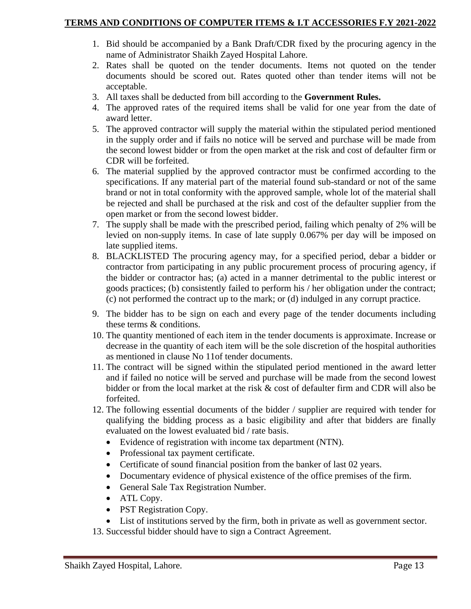- 1. Bid should be accompanied by a Bank Draft/CDR fixed by the procuring agency in the name of Administrator Shaikh Zayed Hospital Lahore.
- 2. Rates shall be quoted on the tender documents. Items not quoted on the tender documents should be scored out. Rates quoted other than tender items will not be acceptable.
- 3. All taxes shall be deducted from bill according to the **Government Rules.**
- 4. The approved rates of the required items shall be valid for one year from the date of award letter.
- 5. The approved contractor will supply the material within the stipulated period mentioned in the supply order and if fails no notice will be served and purchase will be made from the second lowest bidder or from the open market at the risk and cost of defaulter firm or CDR will be forfeited.
- 6. The material supplied by the approved contractor must be confirmed according to the specifications. If any material part of the material found sub-standard or not of the same brand or not in total conformity with the approved sample, whole lot of the material shall be rejected and shall be purchased at the risk and cost of the defaulter supplier from the open market or from the second lowest bidder.
- 7. The supply shall be made with the prescribed period, failing which penalty of 2% will be levied on non-supply items. In case of late supply 0.067% per day will be imposed on late supplied items.
- 8. BLACKLISTED The procuring agency may, for a specified period, debar a bidder or contractor from participating in any public procurement process of procuring agency, if the bidder or contractor has; (a) acted in a manner detrimental to the public interest or goods practices; (b) consistently failed to perform his / her obligation under the contract; (c) not performed the contract up to the mark; or (d) indulged in any corrupt practice.
- 9. The bidder has to be sign on each and every page of the tender documents including these terms & conditions.
- 10. The quantity mentioned of each item in the tender documents is approximate. Increase or decrease in the quantity of each item will be the sole discretion of the hospital authorities as mentioned in clause No 11of tender documents.
- 11. The contract will be signed within the stipulated period mentioned in the award letter and if failed no notice will be served and purchase will be made from the second lowest bidder or from the local market at the risk & cost of defaulter firm and CDR will also be forfeited.
- 12. The following essential documents of the bidder / supplier are required with tender for qualifying the bidding process as a basic eligibility and after that bidders are finally evaluated on the lowest evaluated bid / rate basis.
	- Evidence of registration with income tax department (NTN).
	- Professional tax payment certificate.
	- Certificate of sound financial position from the banker of last 02 years.
	- Documentary evidence of physical existence of the office premises of the firm.
	- General Sale Tax Registration Number.
	- ATL Copy.
	- PST Registration Copy.
	- List of institutions served by the firm, both in private as well as government sector.
- 13. Successful bidder should have to sign a Contract Agreement.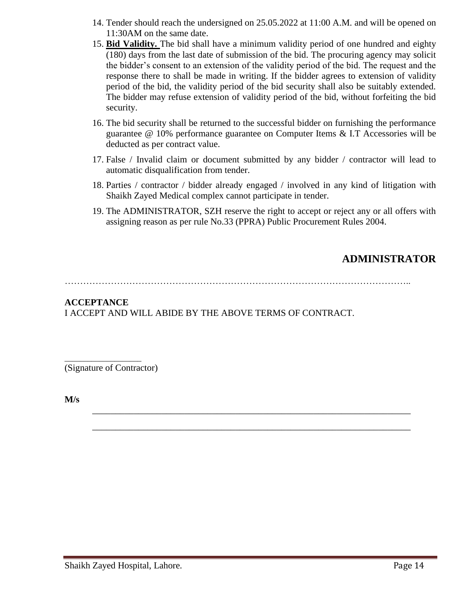- 14. Tender should reach the undersigned on 25.05.2022 at 11:00 A.M. and will be opened on 11:30AM on the same date.
- 15. **Bid Validity.** The bid shall have a minimum validity period of one hundred and eighty (180) days from the last date of submission of the bid. The procuring agency may solicit the bidder's consent to an extension of the validity period of the bid. The request and the response there to shall be made in writing. If the bidder agrees to extension of validity period of the bid, the validity period of the bid security shall also be suitably extended. The bidder may refuse extension of validity period of the bid, without forfeiting the bid security.
- 16. The bid security shall be returned to the successful bidder on furnishing the performance guarantee @ 10% performance guarantee on Computer Items & I.T Accessories will be deducted as per contract value.
- 17. False / Invalid claim or document submitted by any bidder / contractor will lead to automatic disqualification from tender.
- 18. Parties / contractor / bidder already engaged / involved in any kind of litigation with Shaikh Zayed Medical complex cannot participate in tender.
- 19. The ADMINISTRATOR, SZH reserve the right to accept or reject any or all offers with assigning reason as per rule No.33 (PPRA) Public Procurement Rules 2004.

## **ADMINISTRATOR**

…………………………………………………………………………………………………..

\_\_\_\_\_\_\_\_\_\_\_\_\_\_\_\_\_\_\_\_\_\_\_\_\_\_\_\_\_\_\_\_\_\_\_\_\_\_\_\_\_\_\_\_\_\_\_\_\_\_\_\_\_\_\_\_\_\_\_\_\_\_\_\_\_\_\_\_\_

\_\_\_\_\_\_\_\_\_\_\_\_\_\_\_\_\_\_\_\_\_\_\_\_\_\_\_\_\_\_\_\_\_\_\_\_\_\_\_\_\_\_\_\_\_\_\_\_\_\_\_\_\_\_\_\_\_\_\_\_\_\_\_\_\_\_\_\_\_

#### **ACCEPTANCE**  I ACCEPT AND WILL ABIDE BY THE ABOVE TERMS OF CONTRACT.

(Signature of Contractor)

\_\_\_\_\_\_\_\_\_\_\_\_\_\_\_\_\_\_\_\_

**M/s**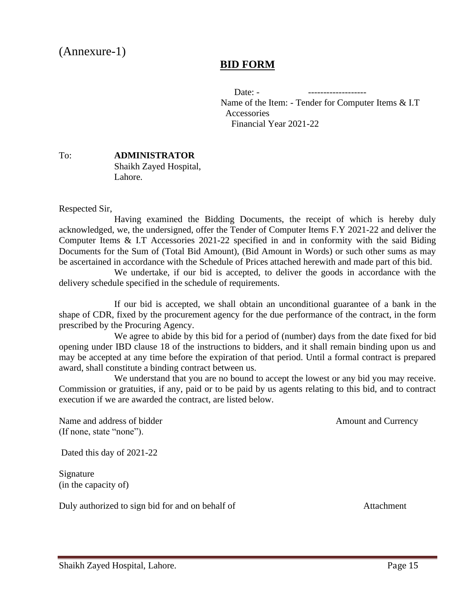# (Annexure-1)

## **BID FORM**

 Date: - ------------------- Name of the Item: - Tender for Computer Items & I.T **Accessories** Financial Year 2021-22

#### To: **ADMINISTRATOR** Shaikh Zayed Hospital, Lahore.

Respected Sir,

Having examined the Bidding Documents, the receipt of which is hereby duly acknowledged, we, the undersigned, offer the Tender of Computer Items F.Y 2021-22 and deliver the Computer Items & I.T Accessories 2021-22 specified in and in conformity with the said Biding Documents for the Sum of (Total Bid Amount), (Bid Amount in Words) or such other sums as may be ascertained in accordance with the Schedule of Prices attached herewith and made part of this bid.

We undertake, if our bid is accepted, to deliver the goods in accordance with the delivery schedule specified in the schedule of requirements.

If our bid is accepted, we shall obtain an unconditional guarantee of a bank in the shape of CDR, fixed by the procurement agency for the due performance of the contract, in the form prescribed by the Procuring Agency.

We agree to abide by this bid for a period of (number) days from the date fixed for bid opening under IBD clause 18 of the instructions to bidders, and it shall remain binding upon us and may be accepted at any time before the expiration of that period. Until a formal contract is prepared award, shall constitute a binding contract between us.

We understand that you are no bound to accept the lowest or any bid you may receive. Commission or gratuities, if any, paid or to be paid by us agents relating to this bid, and to contract execution if we are awarded the contract, are listed below.

Name and address of bidder Amount and Currency (If none, state "none").

Dated this day of 2021-22

Signature (in the capacity of)

Duly authorized to sign bid for and on behalf of Attachment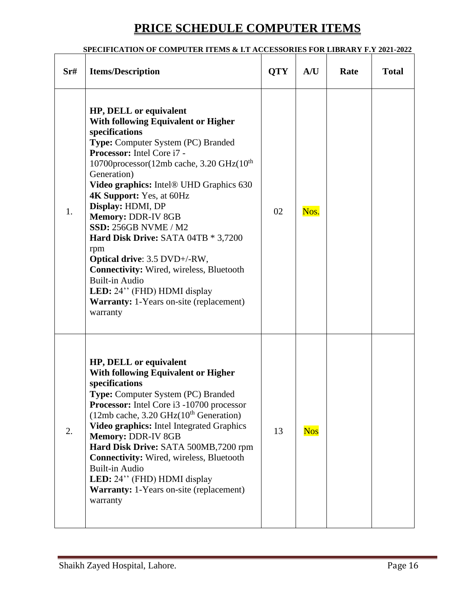# **PRICE SCHEDULE COMPUTER ITEMS**

#### **SPECIFICATION OF COMPUTER ITEMS & I.T ACCESSORIES FOR LIBRARY F.Y 2021-2022**

| Sr# | <b>Items/Description</b>                                                                                                                                                                                                                                                                                                                                                                                                                                                                                                                                                                                                                           | <b>QTY</b> | A/U        | Rate | <b>Total</b> |
|-----|----------------------------------------------------------------------------------------------------------------------------------------------------------------------------------------------------------------------------------------------------------------------------------------------------------------------------------------------------------------------------------------------------------------------------------------------------------------------------------------------------------------------------------------------------------------------------------------------------------------------------------------------------|------------|------------|------|--------------|
| 1.  | HP, DELL or equivalent<br><b>With following Equivalent or Higher</b><br>specifications<br>Type: Computer System (PC) Branded<br>Processor: Intel Core i7 -<br>10700processor(12mb cache, 3.20 GHz(10 <sup>th</sup> )<br>Generation)<br>Video graphics: Intel® UHD Graphics 630<br><b>4K Support:</b> Yes, at 60Hz<br>Display: HDMI, DP<br>Memory: DDR-IV 8GB<br><b>SSD: 256GB NVME / M2</b><br>Hard Disk Drive: SATA 04TB * 3,7200<br>rpm<br>Optical drive: 3.5 DVD+/-RW,<br><b>Connectivity:</b> Wired, wireless, Bluetooth<br><b>Built-in Audio</b><br>LED: 24" (FHD) HDMI display<br><b>Warranty:</b> 1-Years on-site (replacement)<br>warranty | 02         | Nos.       |      |              |
| 2.  | HP, DELL or equivalent<br><b>With following Equivalent or Higher</b><br>specifications<br>Type: Computer System (PC) Branded<br>Processor: Intel Core i3 -10700 processor<br>$(12mb \, cache, 3.20 \, GHz(10th Generation))$<br>Video graphics: Intel Integrated Graphics<br>Memory: DDR-IV 8GB<br>Hard Disk Drive: SATA 500MB,7200 rpm<br><b>Connectivity:</b> Wired, wireless, Bluetooth<br><b>Built-in Audio</b><br>LED: 24" (FHD) HDMI display<br><b>Warranty:</b> 1-Years on-site (replacement)<br>warranty                                                                                                                                   | 13         | <b>Nos</b> |      |              |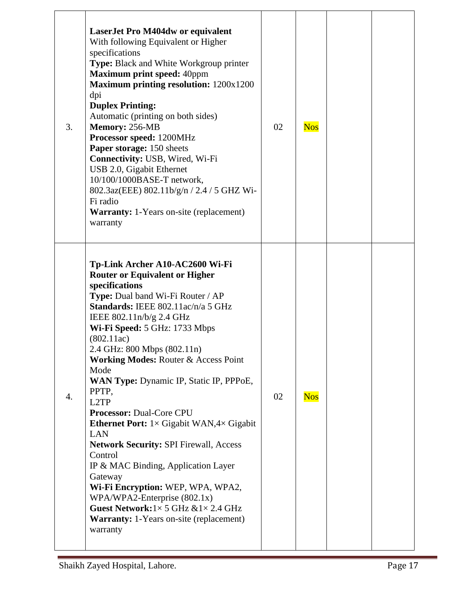| 3. | <b>LaserJet Pro M404dw or equivalent</b><br>With following Equivalent or Higher<br>specifications<br>Type: Black and White Workgroup printer<br><b>Maximum print speed: 40ppm</b><br>Maximum printing resolution: 1200x1200<br>dpi<br><b>Duplex Printing:</b><br>Automatic (printing on both sides)<br>Memory: 256-MB<br>Processor speed: 1200MHz<br>Paper storage: 150 sheets<br>Connectivity: USB, Wired, Wi-Fi<br>USB 2.0, Gigabit Ethernet<br>10/100/1000BASE-T network,<br>802.3az(EEE) 802.11b/g/n / 2.4 / 5 GHZ Wi-<br>Fi radio<br><b>Warranty:</b> 1-Years on-site (replacement)<br>warranty                                                                                                                                                                                                                                   | 02 | <b>Nos</b> |  |
|----|----------------------------------------------------------------------------------------------------------------------------------------------------------------------------------------------------------------------------------------------------------------------------------------------------------------------------------------------------------------------------------------------------------------------------------------------------------------------------------------------------------------------------------------------------------------------------------------------------------------------------------------------------------------------------------------------------------------------------------------------------------------------------------------------------------------------------------------|----|------------|--|
| 4. | Tp-Link Archer A10-AC2600 Wi-Fi<br><b>Router or Equivalent or Higher</b><br>specifications<br>Type: Dual band Wi-Fi Router / AP<br>Standards: IEEE 802.11ac/n/a 5 GHz<br>IEEE 802.11n/b/g 2.4 GHz<br>Wi-Fi Speed: 5 GHz: 1733 Mbps<br>(802.11ac)<br>2.4 GHz: 800 Mbps (802.11n)<br><b>Working Modes: Router &amp; Access Point</b><br>Mode<br>WAN Type: Dynamic IP, Static IP, PPPoE,<br>PPTP,<br>L2TP<br><b>Processor: Dual-Core CPU</b><br><b>Ethernet Port:</b> $1 \times$ Gigabit WAN, $4 \times$ Gigabit<br><b>LAN</b><br><b>Network Security: SPI Firewall, Access</b><br>Control<br>IP & MAC Binding, Application Layer<br>Gateway<br>Wi-Fi Encryption: WEP, WPA, WPA2,<br>WPA/WPA2-Enterprise $(802.1x)$<br>Guest Network: $1 \times 5$ GHz & $1 \times 2.4$ GHz<br><b>Warranty:</b> 1-Years on-site (replacement)<br>warranty | 02 | <b>Nos</b> |  |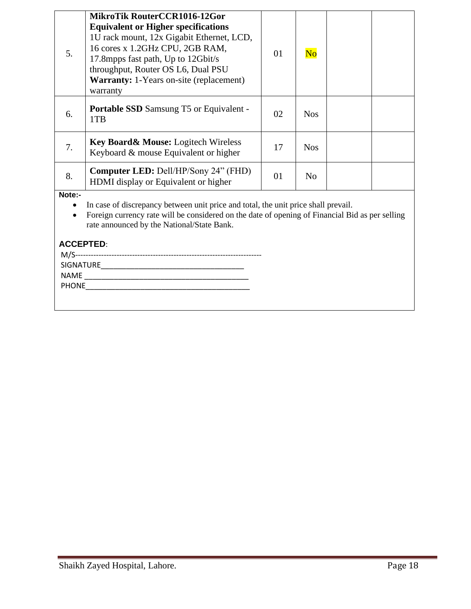| 5.                                                                                                                                                                                                                                            | MikroTik RouterCCR1016-12Gor<br><b>Equivalent or Higher specifications</b><br>1U rack mount, 12x Gigabit Ethernet, LCD,<br>16 cores x 1.2GHz CPU, 2GB RAM,<br>17.8 mpps fast path, Up to 12 Gbit/s<br>throughput, Router OS L6, Dual PSU<br><b>Warranty:</b> 1-Years on-site (replacement)<br>warranty | 01 | $\overline{\text{No}}$ |  |  |
|-----------------------------------------------------------------------------------------------------------------------------------------------------------------------------------------------------------------------------------------------|--------------------------------------------------------------------------------------------------------------------------------------------------------------------------------------------------------------------------------------------------------------------------------------------------------|----|------------------------|--|--|
| 6.                                                                                                                                                                                                                                            | <b>Portable SSD</b> Samsung T5 or Equivalent -<br>1TB                                                                                                                                                                                                                                                  | 02 | <b>Nos</b>             |  |  |
| 7.                                                                                                                                                                                                                                            | <b>Key Board &amp; Mouse:</b> Logitech Wireless<br>Keyboard & mouse Equivalent or higher                                                                                                                                                                                                               | 17 | <b>Nos</b>             |  |  |
| 8.                                                                                                                                                                                                                                            | <b>Computer LED:</b> Dell/HP/Sony 24" (FHD)<br>HDMI display or Equivalent or higher                                                                                                                                                                                                                    | 01 | N <sub>o</sub>         |  |  |
| Note:-<br>In case of discrepancy between unit price and total, the unit price shall prevail.<br>Foreign currency rate will be considered on the date of opening of Financial Bid as per selling<br>rate announced by the National/State Bank. |                                                                                                                                                                                                                                                                                                        |    |                        |  |  |

## **ACCEPTED**:

| SIGNATURE |  |
|-----------|--|
| NAME      |  |
| PHONE     |  |
|           |  |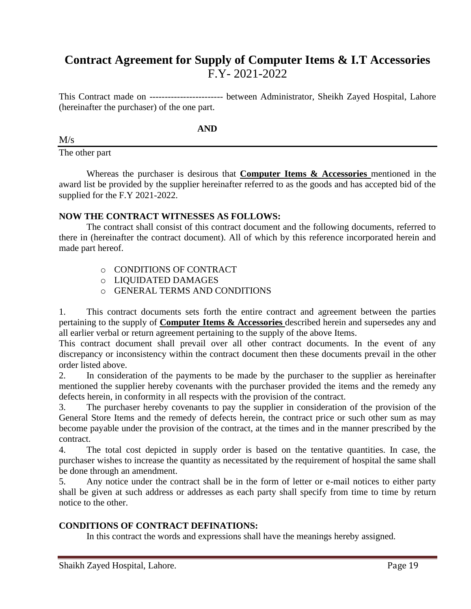## **Contract Agreement for Supply of Computer Items & I.T Accessories**  F.Y- 2021-2022

This Contract made on ------------------------ between Administrator, Sheikh Zayed Hospital, Lahore (hereinafter the purchaser) of the one part.

**AND**

 $M/s$ 

The other part

Whereas the purchaser is desirous that **Computer Items & Accessories** mentioned in the award list be provided by the supplier hereinafter referred to as the goods and has accepted bid of the supplied for the F.Y 2021-2022.

#### **NOW THE CONTRACT WITNESSES AS FOLLOWS:**

The contract shall consist of this contract document and the following documents, referred to there in (hereinafter the contract document). All of which by this reference incorporated herein and made part hereof.

- o CONDITIONS OF CONTRACT
- o LIQUIDATED DAMAGES
- o GENERAL TERMS AND CONDITIONS

1. This contract documents sets forth the entire contract and agreement between the parties pertaining to the supply of **Computer Items & Accessories** described herein and supersedes any and all earlier verbal or return agreement pertaining to the supply of the above Items.

This contract document shall prevail over all other contract documents. In the event of any discrepancy or inconsistency within the contract document then these documents prevail in the other order listed above.

2. In consideration of the payments to be made by the purchaser to the supplier as hereinafter mentioned the supplier hereby covenants with the purchaser provided the items and the remedy any defects herein, in conformity in all respects with the provision of the contract.

3. The purchaser hereby covenants to pay the supplier in consideration of the provision of the General Store Items and the remedy of defects herein, the contract price or such other sum as may become payable under the provision of the contract, at the times and in the manner prescribed by the contract.

4. The total cost depicted in supply order is based on the tentative quantities. In case, the purchaser wishes to increase the quantity as necessitated by the requirement of hospital the same shall be done through an amendment.

5. Any notice under the contract shall be in the form of letter or e-mail notices to either party shall be given at such address or addresses as each party shall specify from time to time by return notice to the other.

#### **CONDITIONS OF CONTRACT DEFINATIONS:**

In this contract the words and expressions shall have the meanings hereby assigned.